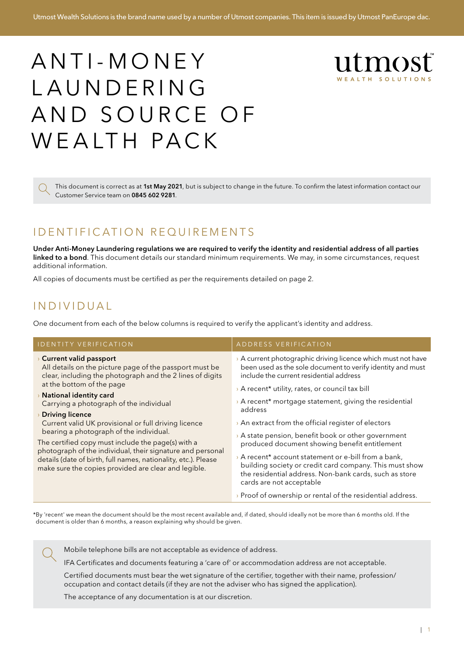# ANTI-MONEY L A U N D E R I N G AND SOURCE OF W E A LTH PACK



This document is correct as at 1st May 2021, but is subject to change in the future. To confirm the latest information contact our Customer Service team on 0845 602 9281.

### I D EN TI FI CATION REQUIREMENTS

Under Anti-Money Laundering regulations we are required to verify the identity and residential address of all parties linked to a bond. This document details our standard minimum requirements. We may, in some circumstances, request additional information.

All copies of documents must be certified as per the requirements detailed on page 2.

### I n d i v i d u a l

One document from each of the below columns is required to verify the applicant's identity and address.

| <b>IDENTITY VERIFICATION</b>                                                                                                                                                                                                                                                                                                                                                                                                                                                                                                                                                                                                                     | ADDRESS VERIFICATION                                                                                                                                                                                                                                                                                                                                                                                                                                                                                                                                                                                                                                                                                                                                    |
|--------------------------------------------------------------------------------------------------------------------------------------------------------------------------------------------------------------------------------------------------------------------------------------------------------------------------------------------------------------------------------------------------------------------------------------------------------------------------------------------------------------------------------------------------------------------------------------------------------------------------------------------------|---------------------------------------------------------------------------------------------------------------------------------------------------------------------------------------------------------------------------------------------------------------------------------------------------------------------------------------------------------------------------------------------------------------------------------------------------------------------------------------------------------------------------------------------------------------------------------------------------------------------------------------------------------------------------------------------------------------------------------------------------------|
| <b>Current valid passport</b><br>All details on the picture page of the passport must be<br>clear, including the photograph and the 2 lines of digits<br>at the bottom of the page<br>$\rightarrow$ National identity card<br>Carrying a photograph of the individual<br><b>Driving licence</b><br>Current valid UK provisional or full driving licence<br>bearing a photograph of the individual.<br>The certified copy must include the page(s) with a<br>photograph of the individual, their signature and personal<br>details (date of birth, full names, nationality, etc.). Please<br>make sure the copies provided are clear and legible. | > A current photographic driving licence which must not have<br>been used as the sole document to verify identity and must<br>include the current residential address<br>> A recent* utility, rates, or council tax bill<br>A recent* mortgage statement, giving the residential<br>address<br>$\rightarrow$ An extract from the official register of electors<br>$\rightarrow$ A state pension, benefit book or other government<br>produced document showing benefit entitlement<br>A recent* account statement or e-bill from a bank,<br>building society or credit card company. This must show<br>the residential address. Non-bank cards, such as store<br>cards are not acceptable<br>> Proof of ownership or rental of the residential address. |
|                                                                                                                                                                                                                                                                                                                                                                                                                                                                                                                                                                                                                                                  |                                                                                                                                                                                                                                                                                                                                                                                                                                                                                                                                                                                                                                                                                                                                                         |

\*By 'recent' we mean the document should be the most recent available and, if dated, should ideally not be more than 6 months old. If the document is older than 6 months, a reason explaining why should be given.

Mobile telephone bills are not acceptable as evidence of address.

IFA Certificates and documents featuring a 'care of' or accommodation address are not acceptable.

Certified documents must bear the wet signature of the certifier, together with their name, profession/ occupation and contact details (if they are not the adviser who has signed the application).

The acceptance of any documentation is at our discretion.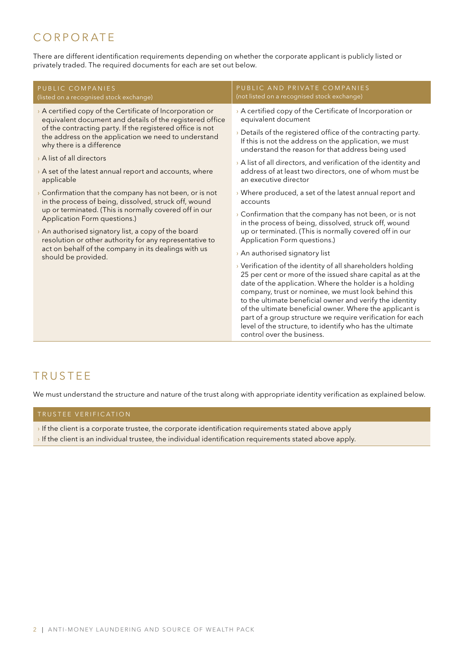### **CORPORATE**

There are different identification requirements depending on whether the corporate applicant is publicly listed or privately traded. The required documents for each are set out below.

| PUBLIC COMPANIES<br>(listed on a recognised stock exchange)                                                                                                                                                                                                                                                                                                                                                             | PUBLIC AND PRIVATE COMPANIES<br>(not listed on a recognised stock exchange)                                                                                                                                                                                                                                                                                                                                                                                                                                              |
|-------------------------------------------------------------------------------------------------------------------------------------------------------------------------------------------------------------------------------------------------------------------------------------------------------------------------------------------------------------------------------------------------------------------------|--------------------------------------------------------------------------------------------------------------------------------------------------------------------------------------------------------------------------------------------------------------------------------------------------------------------------------------------------------------------------------------------------------------------------------------------------------------------------------------------------------------------------|
| > A certified copy of the Certificate of Incorporation or<br>equivalent document and details of the registered office<br>of the contracting party. If the registered office is not<br>the address on the application we need to understand<br>why there is a difference                                                                                                                                                 | > A certified copy of the Certificate of Incorporation or<br>equivalent document                                                                                                                                                                                                                                                                                                                                                                                                                                         |
|                                                                                                                                                                                                                                                                                                                                                                                                                         | > Details of the registered office of the contracting party.<br>If this is not the address on the application, we must<br>understand the reason for that address being used                                                                                                                                                                                                                                                                                                                                              |
| > A list of all directors                                                                                                                                                                                                                                                                                                                                                                                               | > A list of all directors, and verification of the identity and                                                                                                                                                                                                                                                                                                                                                                                                                                                          |
| > A set of the latest annual report and accounts, where<br>applicable                                                                                                                                                                                                                                                                                                                                                   | address of at least two directors, one of whom must be<br>an executive director                                                                                                                                                                                                                                                                                                                                                                                                                                          |
| $\rightarrow$ Confirmation that the company has not been, or is not<br>in the process of being, dissolved, struck off, wound<br>up or terminated. (This is normally covered off in our<br>Application Form questions.)<br>> An authorised signatory list, a copy of the board<br>resolution or other authority for any representative to<br>act on behalf of the company in its dealings with us<br>should be provided. | → Where produced, a set of the latest annual report and<br>accounts                                                                                                                                                                                                                                                                                                                                                                                                                                                      |
|                                                                                                                                                                                                                                                                                                                                                                                                                         | > Confirmation that the company has not been, or is not<br>in the process of being, dissolved, struck off, wound<br>up or terminated. (This is normally covered off in our<br>Application Form questions.)                                                                                                                                                                                                                                                                                                               |
|                                                                                                                                                                                                                                                                                                                                                                                                                         |                                                                                                                                                                                                                                                                                                                                                                                                                                                                                                                          |
|                                                                                                                                                                                                                                                                                                                                                                                                                         | > Verification of the identity of all shareholders holding<br>25 per cent or more of the issued share capital as at the<br>date of the application. Where the holder is a holding<br>company, trust or nominee, we must look behind this<br>to the ultimate beneficial owner and verify the identity<br>of the ultimate beneficial owner. Where the applicant is<br>part of a group structure we require verification for each<br>level of the structure, to identify who has the ultimate<br>control over the business. |

### **TRUSTEE**

We must understand the structure and nature of the trust along with appropriate identity verification as explained below.

#### TRUSTEE VERIFICATION

- › If the client is a corporate trustee, the corporate identification requirements stated above apply
- › If the client is an individual trustee, the individual identification requirements stated above apply.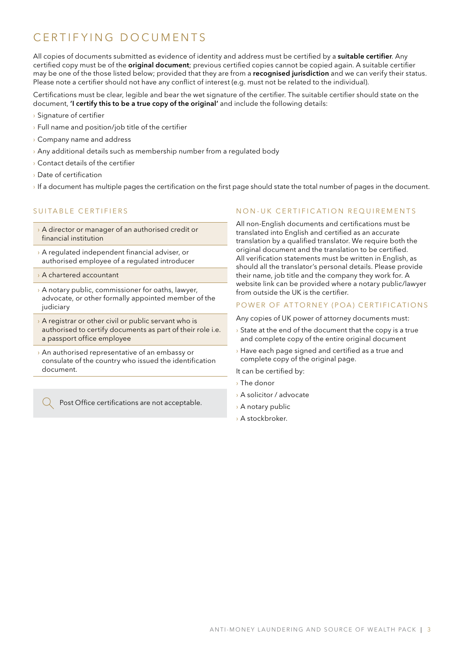# C F R T I F Y I N G D O CUM EN T S

All copies of documents submitted as evidence of identity and address must be certified by a suitable certifier. Any certified copy must be of the **original document**; previous certified copies cannot be copied again. A suitable certifier may be one of the those listed below; provided that they are from a recognised jurisdiction and we can verify their status. Please note a certifier should not have any conflict of interest (e.g. must not be related to the individual).

Certifications must be clear, legible and bear the wet signature of the certifier. The suitable certifier should state on the document, 'I certify this to be a true copy of the original' and include the following details:

- › Signature of certifier
- › Full name and position/job title of the certifier
- › Company name and address
- $\rightarrow$  Any additional details such as membership number from a regulated body
- › Contact details of the certifier
- › Date of certification
- › If a document has multiple pages the certification on the first page should state the total number of pages in the document.

#### SUITARI E CERTIFIERS

- › A director or manager of an authorised credit or financial institution
- › A regulated independent financial adviser, or authorised employee of a regulated introducer
- › A chartered accountant
- › A notary public, commissioner for oaths, lawyer, advocate, or other formally appointed member of the judiciary
- $\rightarrow$  A registrar or other civil or public servant who is authorised to certify documents as part of their role i.e. a passport office employee
- › An authorised representative of an embassy or consulate of the country who issued the identification document.

Post Office certifications are not acceptable.

#### NON-IIK CERTIEICATION REQUIREMENTS

All non-English documents and certifications must be translated into English and certified as an accurate translation by a qualified translator. We require both the original document and the translation to be certified. All verification statements must be written in English, as should all the translator's personal details. Please provide their name, job title and the company they work for. A website link can be provided where a notary public/lawyer from outside the UK is the certifier.

#### POWER OF ATTORNEY (POA) CERTIFICATIONS

Any copies of UK power of attorney documents must:

- $\rightarrow$  State at the end of the document that the copy is a true and complete copy of the entire original document
- › Have each page signed and certified as a true and complete copy of the original page.

It can be certified by:

- › The donor
- › A solicitor / advocate
- › A notary public
- › A stockbroker.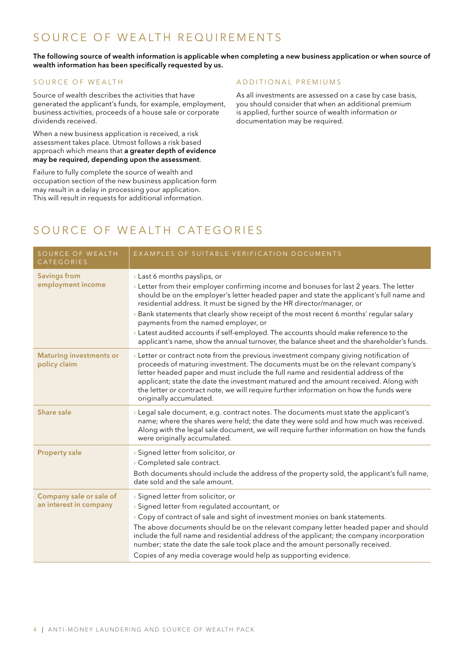### SOURCE OF WEALTH REQUIREMENTS

#### The following source of wealth information is applicable when completing a new business application or when source of wealth information has been specifically requested by us.

#### SOURCE OF WEALTH

Source of wealth describes the activities that have generated the applicant's funds, for example, employment, business activities, proceeds of a house sale or corporate dividends received.

When a new business application is received, a risk assessment takes place. Utmost follows a risk based approach which means that a greater depth of evidence may be required, depending upon the assessment.

Failure to fully complete the source of wealth and occupation section of the new business application form may result in a delay in processing your application. This will result in requests for additional information.

#### A D D I T I O N A L P R E M I U M S

As all investments are assessed on a case by case basis, you should consider that when an additional premium is applied, further source of wealth information or documentation may be required.

### SOURCE OF WEALTH CATEGORIES

| SOURCE OF WEALTH<br>CATEGORIES                    | EXAMPLES OF SUITABLE VERIFICATION DOCUMENTS                                                                                                                                                                                                                                                                                                                                                                                                                                                                                                                                                                         |
|---------------------------------------------------|---------------------------------------------------------------------------------------------------------------------------------------------------------------------------------------------------------------------------------------------------------------------------------------------------------------------------------------------------------------------------------------------------------------------------------------------------------------------------------------------------------------------------------------------------------------------------------------------------------------------|
| <b>Savings from</b><br>employment income          | > Last 6 months payslips, or<br>> Letter from their employer confirming income and bonuses for last 2 years. The letter<br>should be on the employer's letter headed paper and state the applicant's full name and<br>residential address. It must be signed by the HR director/manager, or<br>Bank statements that clearly show receipt of the most recent 6 months' regular salary<br>payments from the named employer, or<br>> Latest audited accounts if self-employed. The accounts should make reference to the<br>applicant's name, show the annual turnover, the balance sheet and the shareholder's funds. |
| <b>Maturing investments or</b><br>policy claim    | > Letter or contract note from the previous investment company giving notification of<br>proceeds of maturing investment. The documents must be on the relevant company's<br>letter headed paper and must include the full name and residential address of the<br>applicant; state the date the investment matured and the amount received. Along with<br>the letter or contract note, we will require further information on how the funds were<br>originally accumulated.                                                                                                                                         |
| Share sale                                        | > Legal sale document, e.g. contract notes. The documents must state the applicant's<br>name; where the shares were held; the date they were sold and how much was received.<br>Along with the legal sale document, we will require further information on how the funds<br>were originally accumulated.                                                                                                                                                                                                                                                                                                            |
| <b>Property sale</b>                              | > Signed letter from solicitor, or<br>> Completed sale contract.<br>Both documents should include the address of the property sold, the applicant's full name,<br>date sold and the sale amount.                                                                                                                                                                                                                                                                                                                                                                                                                    |
| Company sale or sale of<br>an interest in company | > Signed letter from solicitor, or<br>> Signed letter from regulated accountant, or<br>> Copy of contract of sale and sight of investment monies on bank statements.<br>The above documents should be on the relevant company letter headed paper and should<br>include the full name and residential address of the applicant; the company incorporation<br>number; state the date the sale took place and the amount personally received.<br>Copies of any media coverage would help as supporting evidence.                                                                                                      |